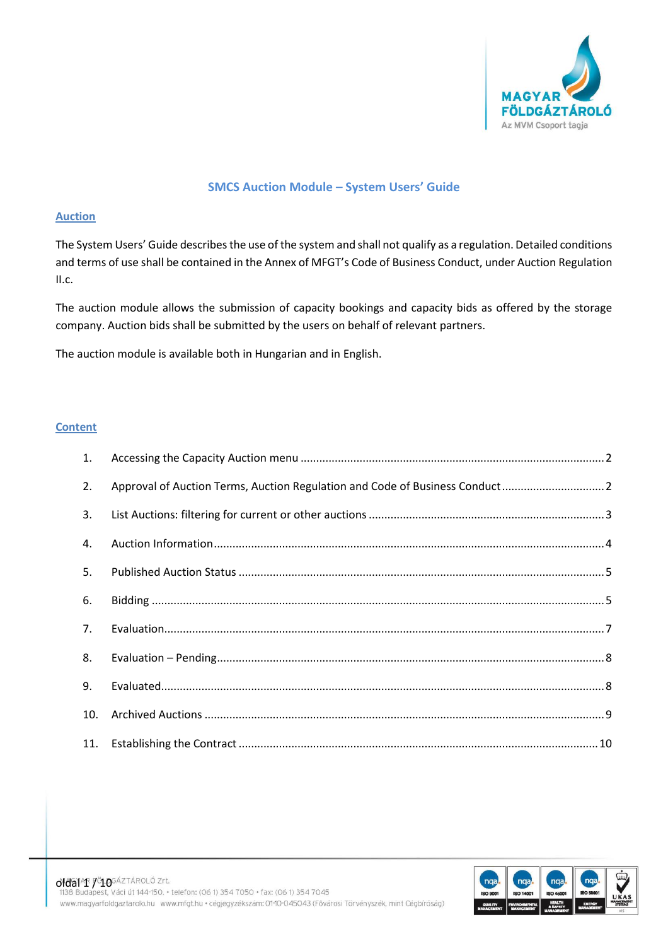

# **SMCS Auction Module – System Users' Guide**

### **Auction**

The System Users' Guide describes the use of the system and shall not qualify as a regulation. Detailed conditions and terms of use shall be contained in the Annex of MFGT's Code of Business Conduct, under Auction Regulation II.c.

The auction module allows the submission of capacity bookings and capacity bids as offered by the storage company. Auction bids shall be submitted by the users on behalf of relevant partners.

The auction module is available both in Hungarian and in English.

### **Content**

| 2.  | Approval of Auction Terms, Auction Regulation and Code of Business Conduct 2 |  |
|-----|------------------------------------------------------------------------------|--|
| 3.  |                                                                              |  |
| 4.  |                                                                              |  |
| 5.  |                                                                              |  |
| 6.  |                                                                              |  |
| 7.  |                                                                              |  |
| 8.  |                                                                              |  |
| 9.  |                                                                              |  |
| 10. |                                                                              |  |
|     |                                                                              |  |

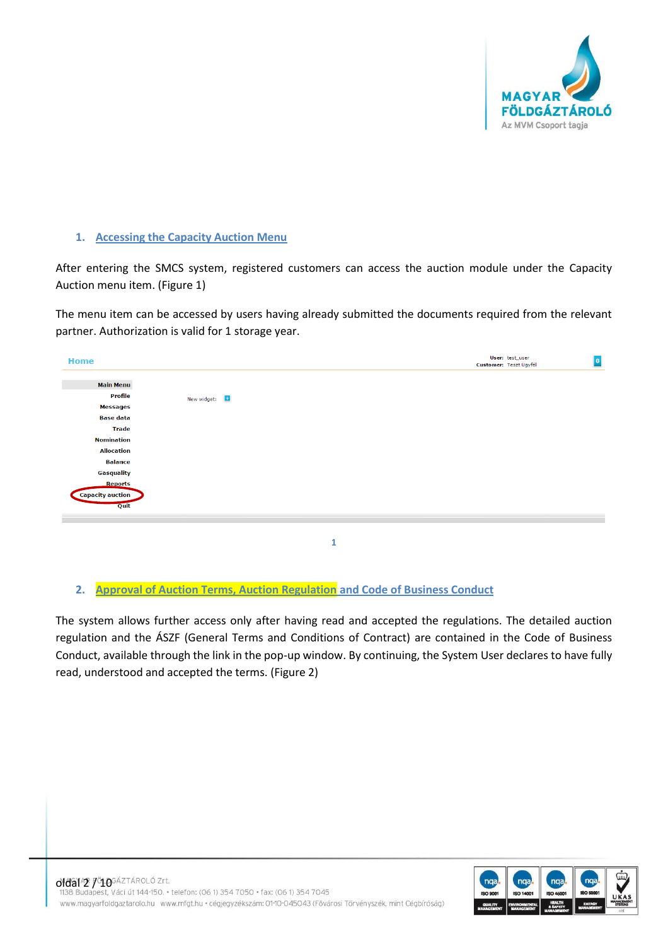

### <span id="page-1-0"></span>**1. Accessing the Capacity Auction Menu**

After entering the SMCS system, registered customers can access the auction module under the Capacity Auction menu item. (Figure 1)

The menu item can be accessed by users having already submitted the documents required from the relevant partner. Authorization is valid for 1 storage year.

| <b>Home</b>                                       |             | User: test_user<br>Customer: Teszt Ügyfél | $\mathbf{0}$ |
|---------------------------------------------------|-------------|-------------------------------------------|--------------|
| <b>Main Menu</b>                                  |             |                                           |              |
| Profile                                           | New widget: |                                           |              |
| Messages                                          |             |                                           |              |
| <b>Base data</b>                                  |             |                                           |              |
| <b>Trade</b>                                      |             |                                           |              |
| <b>Nomination</b>                                 |             |                                           |              |
| <b>Allocation</b>                                 |             |                                           |              |
| Balance                                           |             |                                           |              |
| Gasquality                                        |             |                                           |              |
| <b>Reports</b><br><b>Capacity auction</b><br>Quit |             |                                           |              |
|                                                   |             |                                           |              |
|                                                   | 1           |                                           |              |

#### <span id="page-1-1"></span>**2. Approval of Auction Terms, Auction Regulation and Code of Business Conduct**

The system allows further access only after having read and accepted the regulations. The detailed auction regulation and the ÁSZF (General Terms and Conditions of Contract) are contained in the Code of Business Conduct, available through the link in the pop-up window. By continuing, the System User declares to have fully read, understood and accepted the terms. (Figure 2)

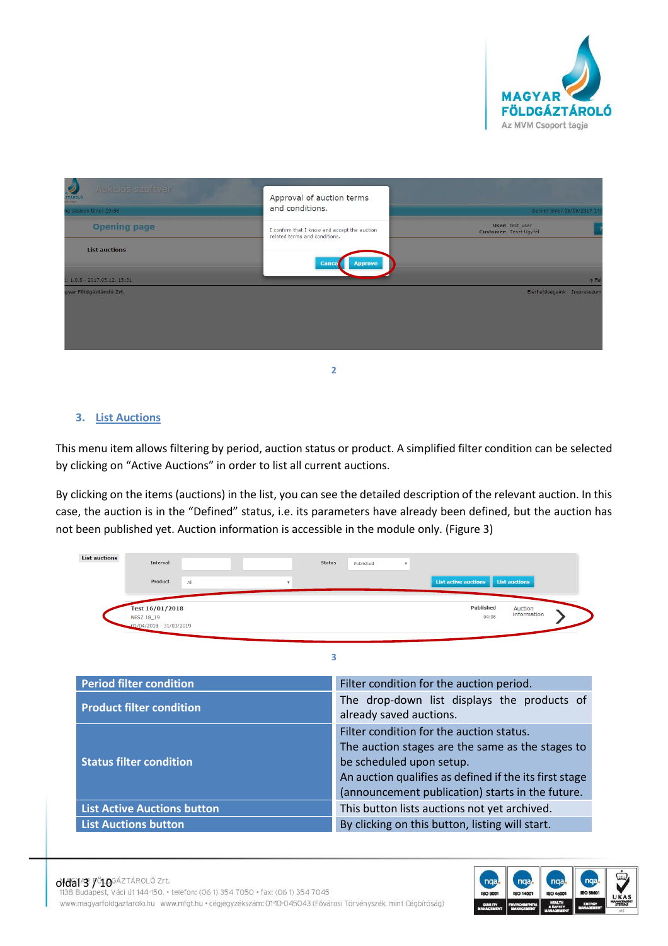

| R<br>ETÁROLO<br>Aukcios szoftver<br><b>HESHIEL</b> | Approval of auction terms<br>and conditions.                                  |                                           |
|----------------------------------------------------|-------------------------------------------------------------------------------|-------------------------------------------|
| ng session time: 29:56                             |                                                                               | Server time: 08/06/2017 14:               |
| <b>Opening page</b>                                | I confirm that I know and accept the auction<br>related terms and conditions. | User: test_user<br>Customer: Teszt Ügyfél |
| <b>List auctions</b>                               | Cance<br><b>Approve</b>                                                       |                                           |
| $6: 1.0.5 - 2017.05.12, 15:31$                     |                                                                               | ↑ Fel                                     |
| gyar Földgáztároló Zrt.                            |                                                                               | Elérhetőségeink Impresszum                |

## <span id="page-2-0"></span>**3. List Auctions**

This menu item allows filtering by period, auction status or product. A simplified filter condition can be selected by clicking on "Active Auctions" in order to list all current auctions.

**2**

By clicking on the items (auctions) in the list, you can see the detailed description of the relevant auction. In this case, the auction is in the "Defined" status, i.e. its parameters have already been defined, but the auction has not been published yet. Auction information is accessible in the module only. (Figure 3)

| <b>List auctions</b><br><b>Interval</b>                  | <b>Status</b><br>Published<br>$\overline{\mathbf{v}}$                                                                                                                                                                                  |
|----------------------------------------------------------|----------------------------------------------------------------------------------------------------------------------------------------------------------------------------------------------------------------------------------------|
| Product<br>All                                           | <b>List active auctions</b><br><b>List auctions</b>                                                                                                                                                                                    |
| Test 16/01/2018<br>NESZ 18_19<br>01/04/2018 - 31/03/2019 | <b>Published</b><br>Auction<br>information<br>04:08                                                                                                                                                                                    |
|                                                          | 3                                                                                                                                                                                                                                      |
| <b>Period filter condition</b>                           | Filter condition for the auction period.                                                                                                                                                                                               |
| <b>Product filter condition</b>                          | The drop-down list displays the products of<br>already saved auctions.                                                                                                                                                                 |
| <b>Status filter condition</b>                           | Filter condition for the auction status.<br>The auction stages are the same as the stages to<br>be scheduled upon setup.<br>An auction qualifies as defined if the its first stage<br>(announcement publication) starts in the future. |
| <b>List Active Auctions button</b>                       | This button lists auctions not yet archived.                                                                                                                                                                                           |
| <b>List Auctions button</b>                              | By clicking on this button, listing will start.                                                                                                                                                                                        |

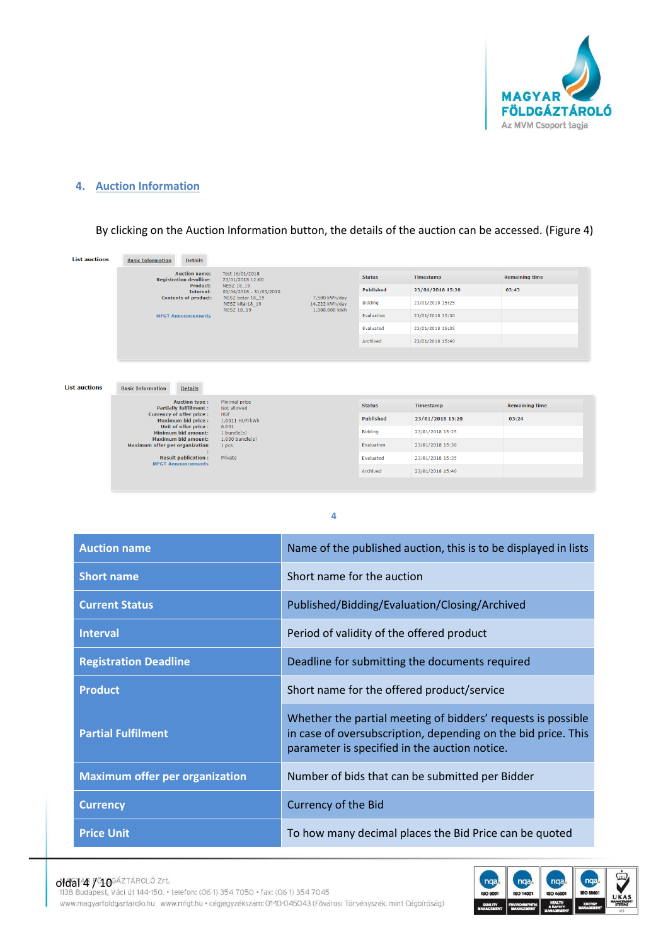

### <span id="page-3-0"></span>**4. Auction Information**

# By clicking on the Auction Information button, the details of the auction can be accessed. (Figure 4)

| <b>List auctions</b> | <b>Basic Information</b><br><b>Details</b>                          |                                         |                                                  |                  |                  |                       |
|----------------------|---------------------------------------------------------------------|-----------------------------------------|--------------------------------------------------|------------------|------------------|-----------------------|
|                      | <b>Auction name:</b><br><b>Registration deadline:</b>               | Test 16/01/2018<br>23/01/2018 12:00     |                                                  | <b>Status</b>    | Timestamp        | <b>Remaining time</b> |
|                      | Product:<br><b>Interval:</b>                                        | NESZ 18_19<br>$01/04/2018 - 31/03/2019$ |                                                  | <b>Published</b> | 23/01/2018 15:20 | 03:43                 |
|                      | <b>Contents of product:</b>                                         | NESZ betár 18 19<br>NESZ kitár18_19     | 7,500 kWh/day<br>14,222 kWh/day<br>1,000,000 kWh | <b>Bidding</b>   | 23/01/2018 15:25 |                       |
|                      | <b>MFGT Announcements</b>                                           | NESZ 18 19                              |                                                  | Evaluation       | 23/01/2018 15:30 |                       |
|                      |                                                                     |                                         |                                                  | Evaluated        | 23/01/2018 15:35 |                       |
|                      |                                                                     |                                         |                                                  | Archived         | 23/01/2018 15:40 |                       |
|                      |                                                                     |                                         |                                                  |                  |                  |                       |
|                      |                                                                     |                                         |                                                  |                  |                  |                       |
|                      | <b>Basic Information</b><br><b>Details</b>                          |                                         |                                                  |                  |                  |                       |
|                      | <b>Auction type:</b><br><b>Partially fulfillment:</b>               | Minimal price<br>Not allowed            |                                                  | <b>Status</b>    | Timestamp        | <b>Remaining time</b> |
|                      | <b>Currency of offer price:</b><br><b>Maximum bid price:</b>        | <b>HUF</b><br>1.0011 HUF/kWh            |                                                  | <b>Published</b> | 23/01/2018 15:20 | 03:24                 |
|                      | Unit of offer price:<br><b>Minimum bid amount:</b>                  | 0.001<br>$1$ bundle $(s)$               |                                                  | Bidding          | 23/01/2018 15:25 |                       |
|                      | <b>Maximum bid amount:</b><br><b>Maximum offer per organization</b> | $1.000$ bundle $(s)$<br>1 pcs.          |                                                  | Evaluation       | 23/01/2018 15:30 |                       |
|                      | <b>Result publication:</b>                                          | Private                                 |                                                  | Evaluated        | 23/01/2018 15:35 |                       |
| <b>List auctions</b> | <b>MFGT Announcements</b>                                           |                                         |                                                  |                  |                  |                       |

**4**

| <b>Auction name</b>                   | Name of the published auction, this is to be displayed in lists                                                                                                                |
|---------------------------------------|--------------------------------------------------------------------------------------------------------------------------------------------------------------------------------|
| <b>Short name</b>                     | Short name for the auction                                                                                                                                                     |
| <b>Current Status</b>                 | Published/Bidding/Evaluation/Closing/Archived                                                                                                                                  |
| <b>Interval</b>                       | Period of validity of the offered product                                                                                                                                      |
| <b>Registration Deadline</b>          | Deadline for submitting the documents required                                                                                                                                 |
| <b>Product</b>                        | Short name for the offered product/service                                                                                                                                     |
| <b>Partial Fulfilment</b>             | Whether the partial meeting of bidders' requests is possible<br>in case of oversubscription, depending on the bid price. This<br>parameter is specified in the auction notice. |
| <b>Maximum offer per organization</b> | Number of bids that can be submitted per Bidder                                                                                                                                |
| <b>Currency</b>                       | Currency of the Bid                                                                                                                                                            |
| <b>Price Unit</b>                     | To how many decimal places the Bid Price can be quoted                                                                                                                         |



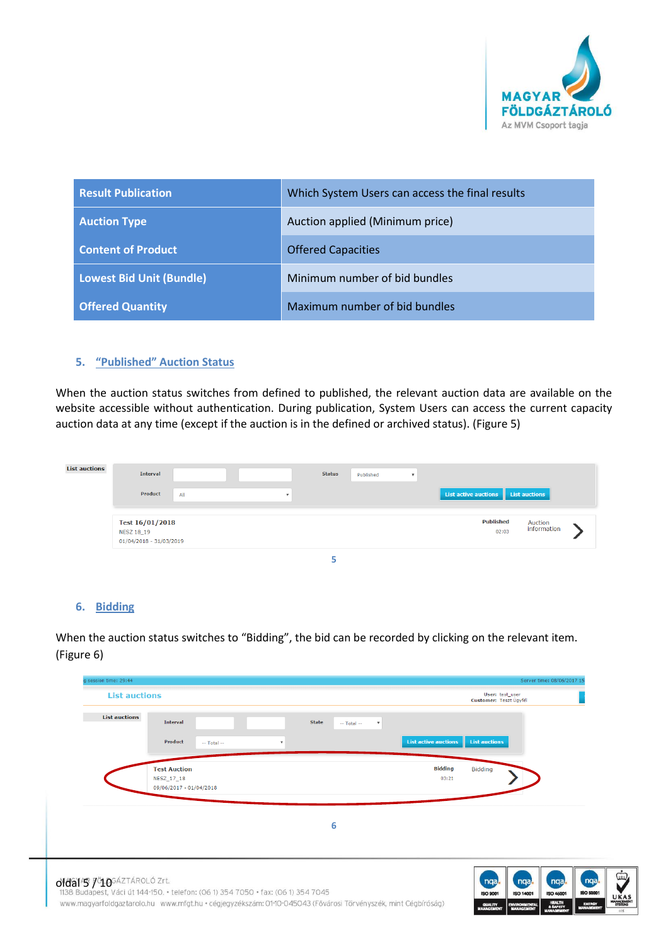

| <b>Result Publication</b> | Which System Users can access the final results |
|---------------------------|-------------------------------------------------|
| <b>Auction Type</b>       | Auction applied (Minimum price)                 |
| <b>Content of Product</b> | <b>Offered Capacities</b>                       |
| Lowest Bid Unit (Bundle)  | Minimum number of bid bundles                   |
| <b>Offered Quantity</b>   | Maximum number of bid bundles                   |

### <span id="page-4-0"></span>**5. "Published" Auction Status**

When the auction status switches from defined to published, the relevant auction data are available on the website accessible without authentication. During publication, System Users can access the current capacity auction data at any time (except if the auction is in the defined or archived status). (Figure 5)

| <b>List auctions</b> | <b>Interval</b>                                          |     |                          | <b>Status</b> | Published | $\boldsymbol{\mathrm{v}}$ |                             |                        |  |
|----------------------|----------------------------------------------------------|-----|--------------------------|---------------|-----------|---------------------------|-----------------------------|------------------------|--|
|                      | Product                                                  | All | $\overline{\phantom{a}}$ |               |           |                           | <b>List active auctions</b> | List auctions          |  |
|                      | Test 16/01/2018<br>NESZ 18_19<br>01/04/2018 - 31/03/2019 |     |                          |               |           |                           | <b>Published</b><br>02:03   | Auction<br>information |  |
|                      |                                                          |     |                          |               |           |                           |                             |                        |  |

#### <span id="page-4-1"></span>**6. Bidding**

When the auction status switches to "Bidding", the bid can be recorded by clicking on the relevant item. (Figure 6)

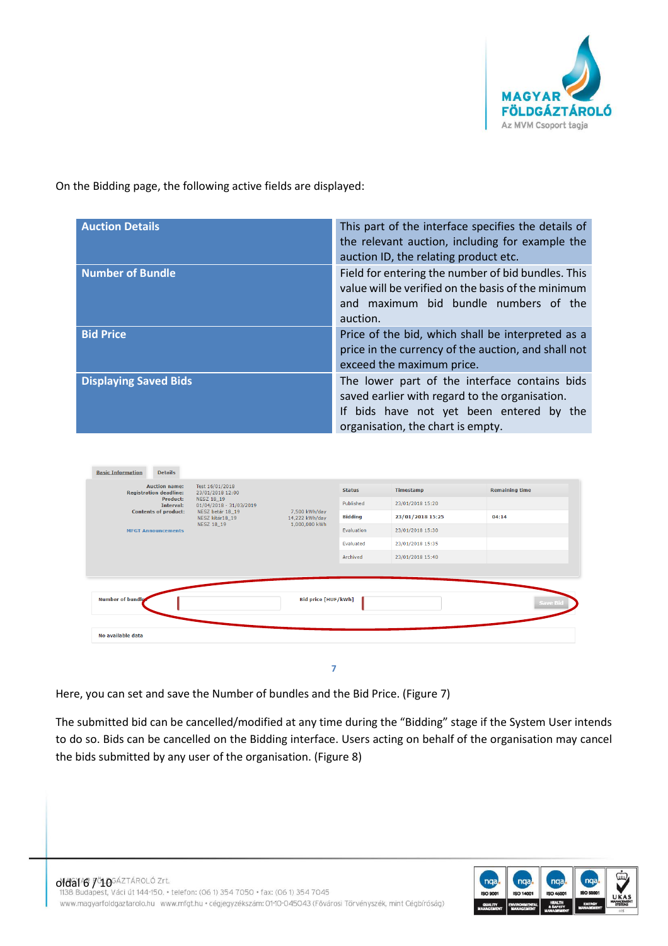

On the Bidding page, the following active fields are displayed:

| <b>Auction Details</b>       | This part of the interface specifies the details of<br>the relevant auction, including for example the<br>auction ID, the relating product etc.                                  |
|------------------------------|----------------------------------------------------------------------------------------------------------------------------------------------------------------------------------|
| <b>Number of Bundle</b>      | Field for entering the number of bid bundles. This<br>value will be verified on the basis of the minimum<br>and maximum bid bundle numbers of the<br>auction.                    |
| <b>Bid Price</b>             | Price of the bid, which shall be interpreted as a<br>price in the currency of the auction, and shall not<br>exceed the maximum price.                                            |
| <b>Displaying Saved Bids</b> | The lower part of the interface contains bids<br>saved earlier with regard to the organisation.<br>If bids have not yet been entered by the<br>organisation, the chart is empty. |

| <b>Basic Information</b><br><b>Details</b><br><b>Auction name:</b> | Test 16/01/2018                                             |                                 | <b>Status</b>    | Timestamp        | <b>Remaining time</b> |
|--------------------------------------------------------------------|-------------------------------------------------------------|---------------------------------|------------------|------------------|-----------------------|
| <b>Registration deadline:</b><br>Product:<br>Interval:             | 23/01/2018 12:00<br>NESZ 18 19<br>$01/04/2018 - 31/03/2019$ |                                 | Published        | 23/01/2018 15:20 |                       |
| <b>Contents of product:</b>                                        | NESZ betár 18 19<br>NESZ kitár18 19                         | 7,500 kWh/day<br>14,222 kWh/day | <b>Bidding</b>   | 23/01/2018 15:25 | 04:14                 |
| <b>MFGT Announcements</b>                                          | NESZ 18_19                                                  | 1,000,000 kWh                   | Evaluation       | 23/01/2018 15:30 |                       |
|                                                                    |                                                             |                                 | <b>Fvaluated</b> | 23/01/2018 15:35 |                       |
|                                                                    |                                                             |                                 | Archived         | 23/01/2018 15:40 |                       |
| <b>Number of bundles</b>                                           |                                                             | <b>Bid price [HUF/kWh]</b>      |                  |                  | <b>Save Bid</b>       |
| No available data                                                  |                                                             |                                 |                  |                  |                       |

**7**

Here, you can set and save the Number of bundles and the Bid Price. (Figure 7)

The submitted bid can be cancelled/modified at any time during the "Bidding" stage if the System User intends to do so. Bids can be cancelled on the Bidding interface. Users acting on behalf of the organisation may cancel the bids submitted by any user of the organisation. (Figure 8)

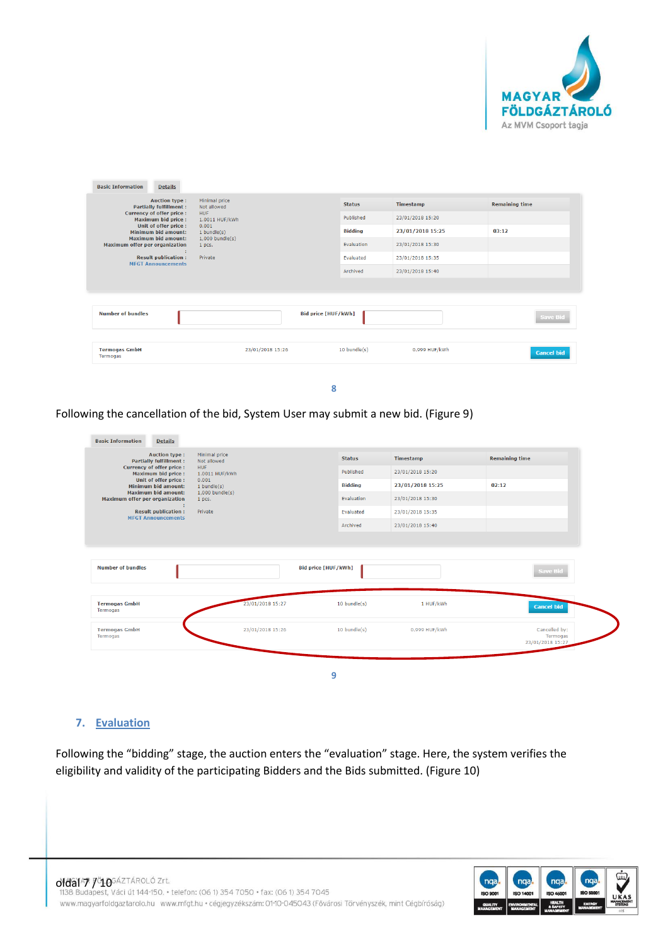

| <b>Basic Information</b>              | <b>Details</b>                                                            |                                |                            |                   |                  |                       |
|---------------------------------------|---------------------------------------------------------------------------|--------------------------------|----------------------------|-------------------|------------------|-----------------------|
|                                       | <b>Auction type:</b><br><b>Partially fulfillment:</b>                     | Minimal price<br>Not allowed   |                            | <b>Status</b>     | Timestamp        | <b>Remaining time</b> |
| <b>Currency of offer price:</b>       | <b>Maximum bid price:</b>                                                 | <b>HUF</b><br>1.0011 HUF/kWh   |                            | Published         | 23/01/2018 15:20 |                       |
|                                       | Unit of offer price:<br><b>Minimum bid amount:</b><br>Maximum bid amount: | 0.001<br>$1$ bundle $(s)$      |                            | <b>Bidding</b>    | 23/01/2018 15:25 | 03:12                 |
| <b>Maximum offer per organization</b> |                                                                           | $1,000$ bundle $(s)$<br>1 pcs. |                            | Evaluation        | 23/01/2018 15:30 |                       |
|                                       | <b>Result publication:</b><br><b>MFGT Announcements</b>                   | Private                        |                            | <b>Fvaluated</b>  | 23/01/2018 15:35 |                       |
|                                       |                                                                           |                                |                            | Archived          | 23/01/2018 15:40 |                       |
|                                       |                                                                           |                                |                            |                   |                  |                       |
| <b>Number of bundles</b>              |                                                                           |                                | <b>Bid price [HUF/kWh]</b> |                   |                  | <b>Save Bid</b>       |
| <b>Termogas GmbH</b><br>Termogas      |                                                                           | 23/01/2018 15:26               |                            | $10$ bundle $(s)$ | 0.999 HUF/kWh    | <b>Cancel bid</b>     |

**8**

#### Following the cancellation of the bid, System User may submit a new bid. (Figure 9)

| <b>Auction type:</b><br><b>Partially fulfillment:</b><br><b>Currency of offer price:</b><br><b>Maximum bid price:</b> | Minimal price<br>Not allowed<br><b>HUF</b><br>1.0011 HUF/kWh | <b>Status</b><br>Published | Timestamp<br>23/01/2018 15:20 | <b>Remaining time</b> |
|-----------------------------------------------------------------------------------------------------------------------|--------------------------------------------------------------|----------------------------|-------------------------------|-----------------------|
| Unit of offer price :<br><b>Minimum bid amount:</b><br><b>Maximum bid amount:</b>                                     | 0.001<br>$1$ bundle $(s)$<br>$1,000$ bundle $(s)$            | <b>Bidding</b>             | 23/01/2018 15:25              | 02:12                 |
| <b>Maximum offer per organization</b>                                                                                 | 1 pcs.                                                       | Evaluation                 | 23/01/2018 15:30              |                       |
| <b>Result publication:</b><br><b>MFGT Announcements</b>                                                               | Private                                                      | Evaluated                  | 23/01/2018 15:35              |                       |
|                                                                                                                       |                                                              | Archived                   | 23/01/2018 15:40              |                       |
| <b>Number of bundles</b>                                                                                              |                                                              | <b>Bid price [HUF/kWh]</b> |                               | Save Bid              |
|                                                                                                                       |                                                              |                            |                               |                       |
| <b>Termogas GmbH</b><br>Termogas                                                                                      | 23/01/2018 15:27                                             | $10$ bundle $(s)$          | 1 HUF/kWh                     | <b>Cancel bid</b>     |

## <span id="page-6-0"></span>**7. Evaluation**

Following the "bidding" stage, the auction enters the "evaluation" stage. Here, the system verifies the eligibility and validity of the participating Bidders and the Bids submitted. (Figure 10)

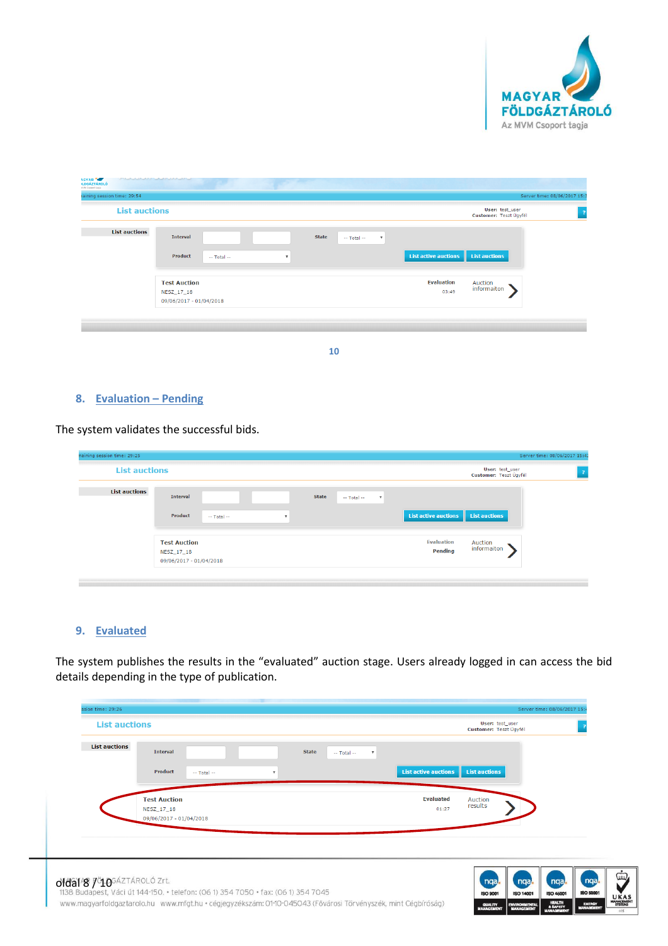

| iaining session time: 29:54 |                                                                               | Server time: 08/06/2017 15:                         |
|-----------------------------|-------------------------------------------------------------------------------|-----------------------------------------------------|
| <b>List auctions</b>        |                                                                               | User: test_user<br>Customer: Teszt Ügyfél           |
| <b>List auctions</b>        | <b>Interval</b><br><b>State</b><br>$-$ Total $-$<br>$\boldsymbol{\mathrm{v}}$ |                                                     |
|                             | Product<br>$-$ Total $-$<br>$\boldsymbol{\mathrm{v}}$                         | <b>List active auctions</b><br><b>List auctions</b> |
|                             | <b>Test Auction</b>                                                           | Evaluation<br>Auction<br>informaiton                |
|                             | NESZ_17_18<br>09/06/2017 - 01/04/2018                                         | 03:49                                               |

**10**

#### <span id="page-7-0"></span>**8. Evaluation – Pending**

The system validates the successful bids.

| naining session time: 29:25 |                                                              |                           |                                                            |                              |                                           | Server time: 08/06/2017 15:42 |
|-----------------------------|--------------------------------------------------------------|---------------------------|------------------------------------------------------------|------------------------------|-------------------------------------------|-------------------------------|
| <b>List auctions</b>        |                                                              |                           |                                                            |                              | User: test_user<br>Customer: Teszt Ügyfél | 27                            |
| <b>List auctions</b>        | <b>Interval</b><br>Product<br>$-$ Total $-$                  | $\boldsymbol{\mathrm{v}}$ | <b>State</b><br>$-$ Total $-$<br>$\boldsymbol{\mathrm{v}}$ | <b>List active auctions</b>  | List auctions                             |                               |
|                             | <b>Test Auction</b><br>NESZ_17_18<br>09/06/2017 - 01/04/2018 |                           |                                                            | <b>Evaluation</b><br>Pending | Auction<br>informaiton                    |                               |

### <span id="page-7-1"></span>**9. Evaluated**

The system publishes the results in the "evaluated" auction stage. Users already logged in can access the bid details depending in the type of publication.

| ssion time: 29:26<br><b>List auctions</b> |                                                                                                               |                             | User: test_user<br>Customer: Teszt Ügyfél |                          | Server time: 08/06/2017 15:4 |                         |             |
|-------------------------------------------|---------------------------------------------------------------------------------------------------------------|-----------------------------|-------------------------------------------|--------------------------|------------------------------|-------------------------|-------------|
| <b>List auctions</b>                      | <b>State</b><br><b>Interval</b><br>$-$ Total $-$<br>$\overline{\mathbf{v}}$                                   |                             |                                           |                          |                              |                         |             |
|                                           | Product<br>$-$ Total $-$<br>$\mathbf{v}$                                                                      | <b>List active auctions</b> | <b>List auctions</b>                      |                          |                              |                         |             |
|                                           | <b>Test Auction</b>                                                                                           | <b>Evaluated</b>            | Auction<br>results                        |                          |                              |                         |             |
|                                           | NESZ_17_18<br>09/06/2017 - 01/04/2018                                                                         | 01:27                       |                                           |                          |                              |                         |             |
|                                           |                                                                                                               |                             |                                           |                          |                              |                         |             |
|                                           |                                                                                                               |                             |                                           |                          |                              |                         |             |
| oldal <sup>8</sup> 7910GÁZTÁROLÓ Zrt.     | 1138 Budapest, Váci út 144-150. • telefon: (06 1) 354 7050 • fax: (06 1) 354 7045                             |                             | nga<br><b>ISO 9001</b>                    | nga,<br><b>ISO 14001</b> | nqa<br>ISO 45001             | nga<br><b>ISO 50001</b> | ٣           |
|                                           | www.magyarfoldgaztarolo.hu www.mfgt.hu · cégjegyzékszám: 01-10-045043 (Fővárosi Törvényszék, mint Cégbíróság) |                             | <b>QUALITY</b>                            | <b>EWRONMENTAL</b>       | <b>HEALTH</b>                | ENERGY                  | <b>UKAS</b> |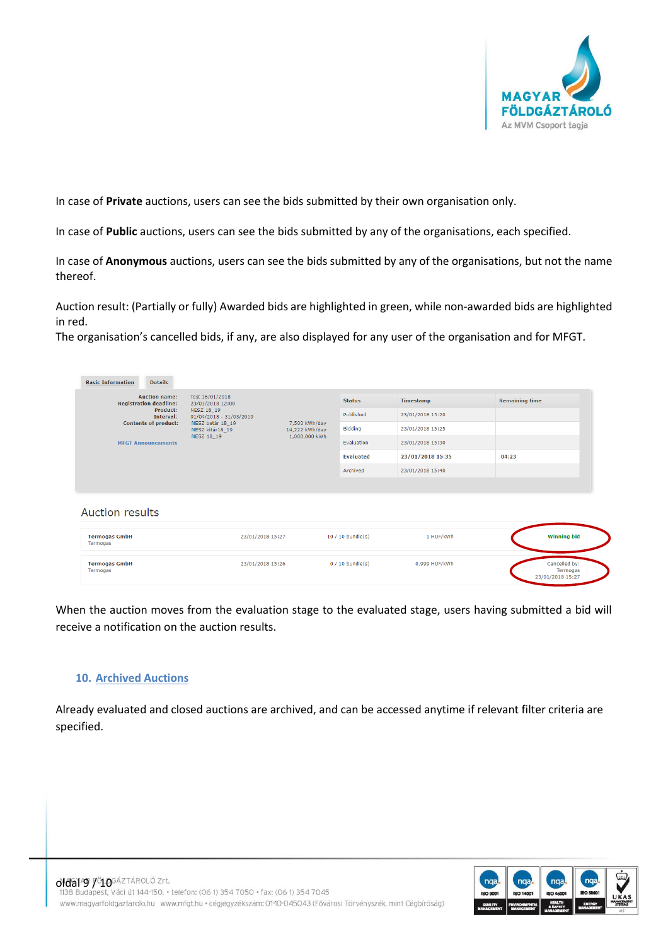

In case of **Private** auctions, users can see the bids submitted by their own organisation only.

In case of **Public** auctions, users can see the bids submitted by any of the organisations, each specified.

In case of **Anonymous** auctions, users can see the bids submitted by any of the organisations, but not the name thereof.

Auction result: (Partially or fully) Awarded bids are highlighted in green, while non-awarded bids are highlighted in red.

The organisation's cancelled bids, if any, are also displayed for any user of the organisation and for MFGT.

| <b>Auction name:</b><br><b>Registration deadline:</b>      | Test 16/01/2018<br>23/01/2018 12:00               |                                                  | <b>Status</b>     | Timestamp        | <b>Remaining time</b> |
|------------------------------------------------------------|---------------------------------------------------|--------------------------------------------------|-------------------|------------------|-----------------------|
| Product:<br><b>Interval:</b>                               | NESZ 18 19<br>$01/04/2018 - 31/03/2019$           |                                                  | Published         | 23/01/2018 15:20 |                       |
| <b>Contents of product:</b>                                | NESZ betár 18_19<br>NESZ kitár18_19<br>NESZ 18 19 | 7,500 kWh/day<br>14,222 kWh/day<br>1,000,000 kWh | <b>Bidding</b>    | 23/01/2018 15:25 |                       |
| <b>MFGT Announcements</b>                                  |                                                   |                                                  | Evaluation        | 23/01/2018 15:30 |                       |
|                                                            |                                                   |                                                  | <b>Evaluated</b>  | 23/01/2018 15:35 | 04:23                 |
|                                                            |                                                   |                                                  | Archived          | 23/01/2018 15:40 |                       |
|                                                            |                                                   |                                                  |                   |                  |                       |
|                                                            |                                                   |                                                  |                   |                  |                       |
| <b>Auction results</b><br><b>Termogas GmbH</b><br>Termogas | 23/01/2018 15:27                                  |                                                  | $10/10$ bundle(s) | 1 HUF/kWh        | <b>Winning bid</b>    |

When the auction moves from the evaluation stage to the evaluated stage, users having submitted a bid will receive a notification on the auction results.

#### <span id="page-8-0"></span>**10. Archived Auctions**

Already evaluated and closed auctions are archived, and can be accessed anytime if relevant filter criteria are specified.